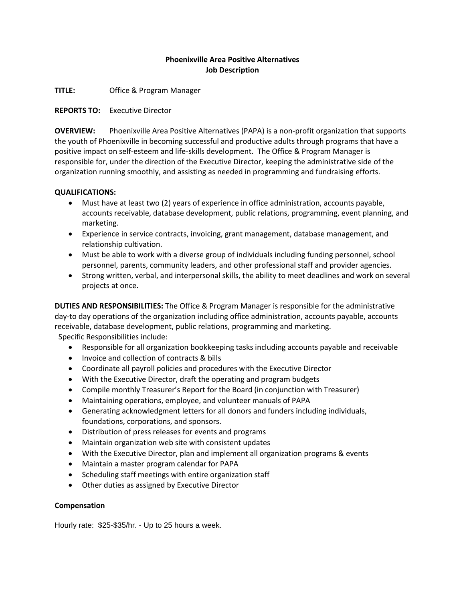## **Phoenixville Area Positive Alternatives Job Description**

**TITLE:** Office & Program Manager

**REPORTS TO:** Executive Director

**OVERVIEW:** Phoenixville Area Positive Alternatives (PAPA) is a non-profit organization that supports the youth of Phoenixville in becoming successful and productive adults through programs that have a positive impact on self-esteem and life-skills development. The Office & Program Manager is responsible for, under the direction of the Executive Director, keeping the administrative side of the organization running smoothly, and assisting as needed in programming and fundraising efforts.

## **QUALIFICATIONS:**

- Must have at least two (2) years of experience in office administration, accounts payable, accounts receivable, database development, public relations, programming, event planning, and marketing.
- Experience in service contracts, invoicing, grant management, database management, and relationship cultivation.
- Must be able to work with a diverse group of individuals including funding personnel, school personnel, parents, community leaders, and other professional staff and provider agencies.
- Strong written, verbal, and interpersonal skills, the ability to meet deadlines and work on several projects at once.

**DUTIES AND RESPONSIBILITIES:** The Office & Program Manager is responsible for the administrative day-to day operations of the organization including office administration, accounts payable, accounts receivable, database development, public relations, programming and marketing. Specific Responsibilities include:

Responsible for all organization bookkeeping tasks including accounts payable and receivable

- Invoice and collection of contracts & bills
- Coordinate all payroll policies and procedures with the Executive Director
- With the Executive Director, draft the operating and program budgets
- Compile monthly Treasurer's Report for the Board (in conjunction with Treasurer)
- Maintaining operations, employee, and volunteer manuals of PAPA
- Generating acknowledgment letters for all donors and funders including individuals, foundations, corporations, and sponsors.
- Distribution of press releases for events and programs
- Maintain organization web site with consistent updates
- With the Executive Director, plan and implement all organization programs & events
- Maintain a master program calendar for PAPA
- Scheduling staff meetings with entire organization staff
- Other duties as assigned by Executive Director

## **Compensation**

Hourly rate: \$25-\$35/hr. - Up to 25 hours a week.